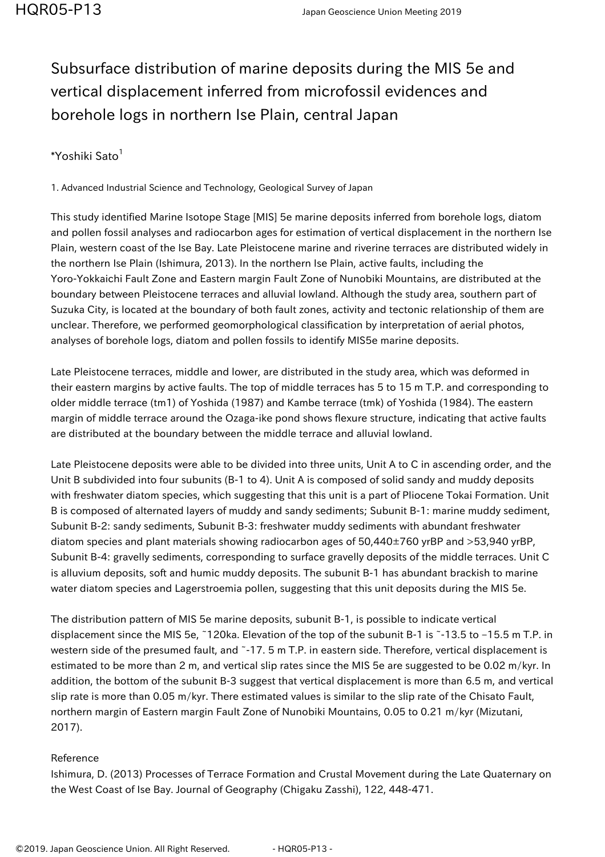## Subsurface distribution of marine deposits during the MIS 5e and vertical displacement inferred from microfossil evidences and borehole logs in northern Ise Plain, central Japan

## \*Yoshiki Sato<sup>1</sup>

1. Advanced Industrial Science and Technology, Geological Survey of Japan

This study identified Marine Isotope Stage [MIS] 5e marine deposits inferred from borehole logs, diatom and pollen fossil analyses and radiocarbon ages for estimation of vertical displacement in the northern Ise Plain, western coast of the Ise Bay. Late Pleistocene marine and riverine terraces are distributed widely in the northern Ise Plain (Ishimura, 2013). In the northern Ise Plain, active faults, including the Yoro-Yokkaichi Fault Zone and Eastern margin Fault Zone of Nunobiki Mountains, are distributed at the boundary between Pleistocene terraces and alluvial lowland. Although the study area, southern part of Suzuka City, is located at the boundary of both fault zones, activity and tectonic relationship of them are unclear. Therefore, we performed geomorphological classification by interpretation of aerial photos, analyses of borehole logs, diatom and pollen fossils to identify MIS5e marine deposits.

Late Pleistocene terraces, middle and lower, are distributed in the study area, which was deformed in their eastern margins by active faults. The top of middle terraces has 5 to 15 m T.P. and corresponding to older middle terrace (tm1) of Yoshida (1987) and Kambe terrace (tmk) of Yoshida (1984). The eastern margin of middle terrace around the Ozaga-ike pond shows flexure structure, indicating that active faults are distributed at the boundary between the middle terrace and alluvial lowland.

Late Pleistocene deposits were able to be divided into three units, Unit A to C in ascending order, and the Unit B subdivided into four subunits (B-1 to 4). Unit A is composed of solid sandy and muddy deposits with freshwater diatom species, which suggesting that this unit is a part of Pliocene Tokai Formation. Unit B is composed of alternated layers of muddy and sandy sediments; Subunit B-1: marine muddy sediment, Subunit B-2: sandy sediments, Subunit B-3: freshwater muddy sediments with abundant freshwater diatom species and plant materials showing radiocarbon ages of 50,440±760 yrBP and >53,940 yrBP, Subunit B-4: gravelly sediments, corresponding to surface gravelly deposits of the middle terraces. Unit C is alluvium deposits, soft and humic muddy deposits. The subunit B-1 has abundant brackish to marine water diatom species and Lagerstroemia pollen, suggesting that this unit deposits during the MIS 5e.

The distribution pattern of MIS 5e marine deposits, subunit B-1, is possible to indicate vertical displacement since the MIS 5e, ~120ka. Elevation of the top of the subunit B-1 is ~-13.5 to -15.5 m T.P. in western side of the presumed fault, and ~-17. 5 m T.P. in eastern side. Therefore, vertical displacement is estimated to be more than 2 m, and vertical slip rates since the MIS 5e are suggested to be 0.02 m/kyr. In addition, the bottom of the subunit B-3 suggest that vertical displacement is more than 6.5 m, and vertical slip rate is more than 0.05 m/kyr. There estimated values is similar to the slip rate of the Chisato Fault, northern margin of Eastern margin Fault Zone of Nunobiki Mountains, 0.05 to 0.21 m/kyr (Mizutani, 2017).

## Reference

Ishimura, D. (2013) Processes of Terrace Formation and Crustal Movement during the Late Quaternary on the West Coast of Ise Bay. Journal of Geography (Chigaku Zasshi), 122, 448-471.